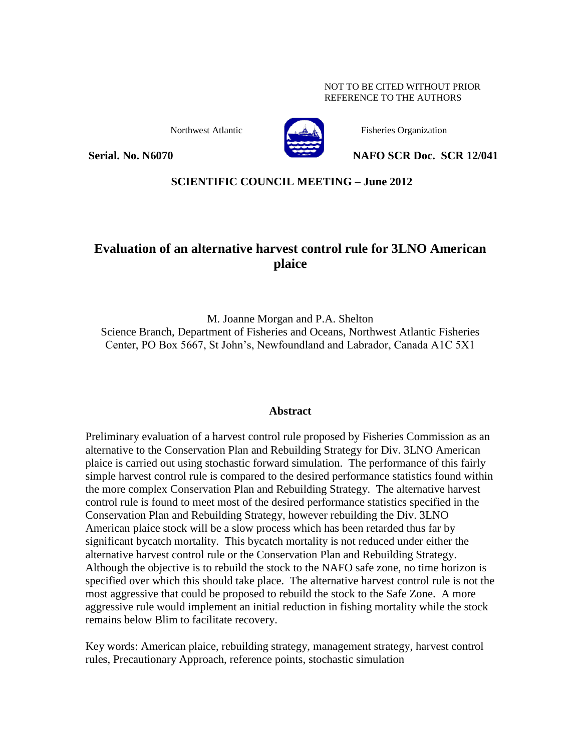#### NOT TO BE CITED WITHOUT PRIOR REFERENCE TO THE AUTHORS



Northwest Atlantic Fisheries Organization

**Serial. No. N6070 NAFO SCR Doc. SCR 12/041** 

# **SCIENTIFIC COUNCIL MEETING – June 2012**

# **Evaluation of an alternative harvest control rule for 3LNO American plaice**

M. Joanne Morgan and P.A. Shelton Science Branch, Department of Fisheries and Oceans, Northwest Atlantic Fisheries Center, PO Box 5667, St John's, Newfoundland and Labrador, Canada A1C 5X1

## **Abstract**

Preliminary evaluation of a harvest control rule proposed by Fisheries Commission as an alternative to the Conservation Plan and Rebuilding Strategy for Div. 3LNO American plaice is carried out using stochastic forward simulation. The performance of this fairly simple harvest control rule is compared to the desired performance statistics found within the more complex Conservation Plan and Rebuilding Strategy. The alternative harvest control rule is found to meet most of the desired performance statistics specified in the Conservation Plan and Rebuilding Strategy, however rebuilding the Div. 3LNO American plaice stock will be a slow process which has been retarded thus far by significant bycatch mortality. This bycatch mortality is not reduced under either the alternative harvest control rule or the Conservation Plan and Rebuilding Strategy. Although the objective is to rebuild the stock to the NAFO safe zone, no time horizon is specified over which this should take place. The alternative harvest control rule is not the most aggressive that could be proposed to rebuild the stock to the Safe Zone. A more aggressive rule would implement an initial reduction in fishing mortality while the stock remains below Blim to facilitate recovery.

Key words: American plaice, rebuilding strategy, management strategy, harvest control rules, Precautionary Approach, reference points, stochastic simulation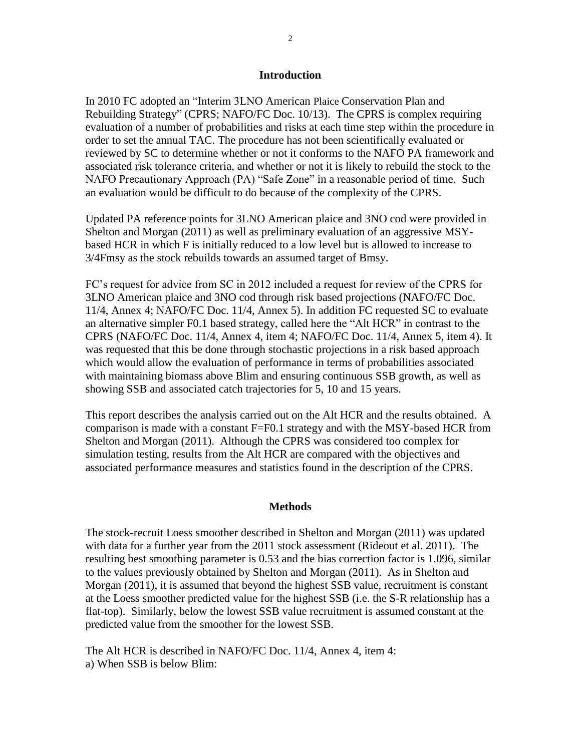#### **Introduction**

In 2010 FC adopted an "Interim 3LNO American Plaice Conservation Plan and Rebuilding Strategy" (CPRS; NAFO/FC Doc. 10/13). The CPRS is complex requiring evaluation of a number of probabilities and risks at each time step within the procedure in order to set the annual TAC. The procedure has not been scientifically evaluated or reviewed by SC to determine whether or not it conforms to the NAFO PA framework and associated risk tolerance criteria, and whether or not it is likely to rebuild the stock to the NAFO Precautionary Approach (PA) "Safe Zone" in a reasonable period of time. Such an evaluation would be difficult to do because of the complexity of the CPRS.

Updated PA reference points for 3LNO American plaice and 3NO cod were provided in Shelton and Morgan (2011) as well as preliminary evaluation of an aggressive MSYbased HCR in which F is initially reduced to a low level but is allowed to increase to 3/4Fmsy as the stock rebuilds towards an assumed target of Bmsy.

FC's request for advice from SC in 2012 included a request for review of the CPRS for 3LNO American plaice and 3NO cod through risk based projections (NAFO/FC Doc. 11/4, Annex 4; NAFO/FC Doc. 11/4, Annex 5). In addition FC requested SC to evaluate an alternative simpler F0.1 based strategy, called here the "Alt HCR" in contrast to the CPRS (NAFO/FC Doc. 11/4, Annex 4, item 4; NAFO/FC Doc. 11/4, Annex 5, item 4). It was requested that this be done through stochastic projections in a risk based approach which would allow the evaluation of performance in terms of probabilities associated with maintaining biomass above Blim and ensuring continuous SSB growth, as well as showing SSB and associated catch trajectories for 5, 10 and 15 years.

This report describes the analysis carried out on the Alt HCR and the results obtained. A comparison is made with a constant F=F0.1 strategy and with the MSY-based HCR from Shelton and Morgan (2011). Although the CPRS was considered too complex for simulation testing, results from the Alt HCR are compared with the objectives and associated performance measures and statistics found in the description of the CPRS.

#### **Methods**

The stock-recruit Loess smoother described in Shelton and Morgan (2011) was updated with data for a further year from the 2011 stock assessment (Rideout et al. 2011). The resulting best smoothing parameter is 0.53 and the bias correction factor is 1.096, similar to the values previously obtained by Shelton and Morgan (2011). As in Shelton and Morgan (2011), it is assumed that beyond the highest SSB value, recruitment is constant at the Loess smoother predicted value for the highest SSB (i.e. the S-R relationship has a flat-top). Similarly, below the lowest SSB value recruitment is assumed constant at the predicted value from the smoother for the lowest SSB.

The Alt HCR is described in NAFO/FC Doc. 11/4, Annex 4, item 4: a) When SSB is below Blim: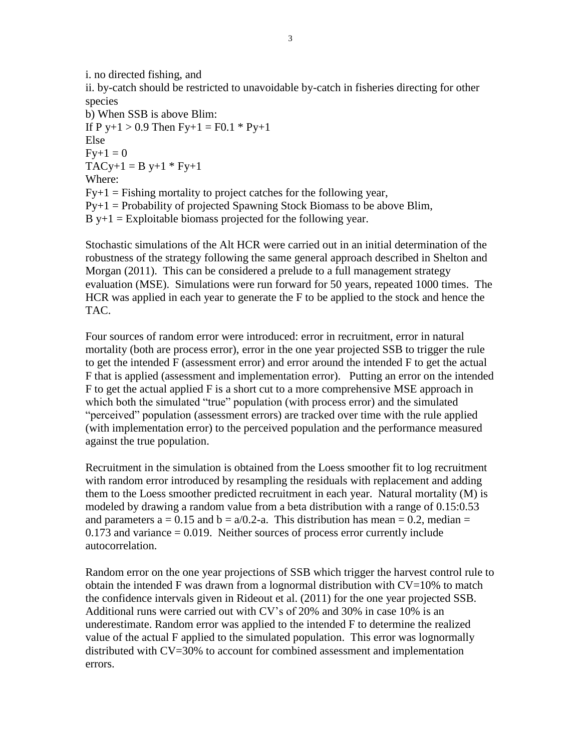i. no directed fishing, and

ii. by-catch should be restricted to unavoidable by-catch in fisheries directing for other species

b) When SSB is above Blim: If P y+1 > 0.9 Then  $Fy+1 = F0.1 * Py+1$ Else  $Fv+1 = 0$  $TACy+1 = B y+1 * Fy+1$ Where:  $Fy+1 = Fishing$  mortality to project catches for the following year,  $Py+1 = Probability$  of projected Spawning Stock Biomass to be above Blim,  $B$  y+1 = Exploitable biomass projected for the following year.

Stochastic simulations of the Alt HCR were carried out in an initial determination of the robustness of the strategy following the same general approach described in Shelton and Morgan (2011). This can be considered a prelude to a full management strategy evaluation (MSE). Simulations were run forward for 50 years, repeated 1000 times. The HCR was applied in each year to generate the F to be applied to the stock and hence the TAC.

Four sources of random error were introduced: error in recruitment, error in natural mortality (both are process error), error in the one year projected SSB to trigger the rule to get the intended F (assessment error) and error around the intended F to get the actual F that is applied (assessment and implementation error). Putting an error on the intended F to get the actual applied F is a short cut to a more comprehensive MSE approach in which both the simulated "true" population (with process error) and the simulated "perceived" population (assessment errors) are tracked over time with the rule applied (with implementation error) to the perceived population and the performance measured against the true population.

Recruitment in the simulation is obtained from the Loess smoother fit to log recruitment with random error introduced by resampling the residuals with replacement and adding them to the Loess smoother predicted recruitment in each year. Natural mortality (M) is modeled by drawing a random value from a beta distribution with a range of 0.15:0.53 and parameters  $a = 0.15$  and  $b = a/0.2$ -a. This distribution has mean = 0.2, median =  $0.173$  and variance  $= 0.019$ . Neither sources of process error currently include autocorrelation.

Random error on the one year projections of SSB which trigger the harvest control rule to obtain the intended F was drawn from a lognormal distribution with  $CV=10%$  to match the confidence intervals given in Rideout et al. (2011) for the one year projected SSB. Additional runs were carried out with CV's of 20% and 30% in case 10% is an underestimate. Random error was applied to the intended F to determine the realized value of the actual F applied to the simulated population. This error was lognormally distributed with CV=30% to account for combined assessment and implementation errors.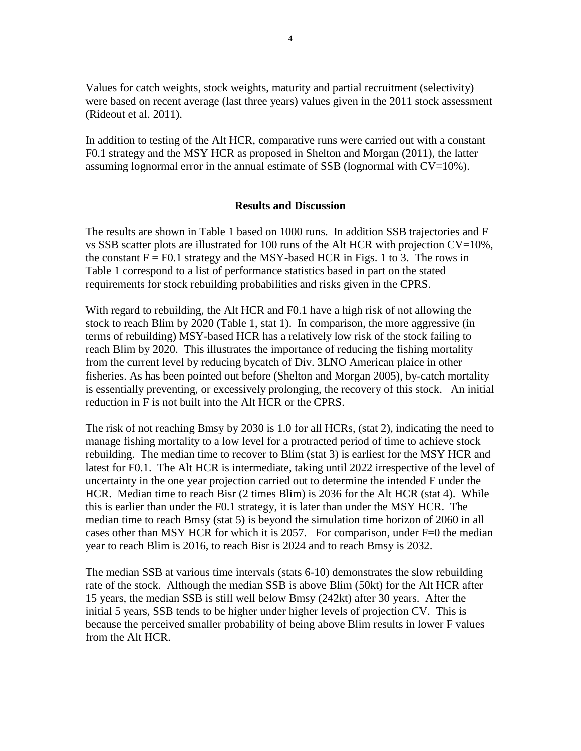Values for catch weights, stock weights, maturity and partial recruitment (selectivity) were based on recent average (last three years) values given in the 2011 stock assessment (Rideout et al. 2011).

In addition to testing of the Alt HCR, comparative runs were carried out with a constant F0.1 strategy and the MSY HCR as proposed in Shelton and Morgan (2011), the latter assuming lognormal error in the annual estimate of SSB (lognormal with  $CV=10\%$ ).

#### **Results and Discussion**

The results are shown in Table 1 based on 1000 runs. In addition SSB trajectories and F vs SSB scatter plots are illustrated for 100 runs of the Alt HCR with projection CV=10%, the constant  $F = F0.1$  strategy and the MSY-based HCR in Figs. 1 to 3. The rows in Table 1 correspond to a list of performance statistics based in part on the stated requirements for stock rebuilding probabilities and risks given in the CPRS.

With regard to rebuilding, the Alt HCR and F0.1 have a high risk of not allowing the stock to reach Blim by 2020 (Table 1, stat 1). In comparison, the more aggressive (in terms of rebuilding) MSY-based HCR has a relatively low risk of the stock failing to reach Blim by 2020. This illustrates the importance of reducing the fishing mortality from the current level by reducing bycatch of Div. 3LNO American plaice in other fisheries. As has been pointed out before (Shelton and Morgan 2005), by-catch mortality is essentially preventing, or excessively prolonging, the recovery of this stock. An initial reduction in F is not built into the Alt HCR or the CPRS.

The risk of not reaching Bmsy by 2030 is 1.0 for all HCRs, (stat 2), indicating the need to manage fishing mortality to a low level for a protracted period of time to achieve stock rebuilding. The median time to recover to Blim (stat 3) is earliest for the MSY HCR and latest for F0.1. The Alt HCR is intermediate, taking until 2022 irrespective of the level of uncertainty in the one year projection carried out to determine the intended F under the HCR. Median time to reach Bisr (2 times Blim) is 2036 for the Alt HCR (stat 4). While this is earlier than under the F0.1 strategy, it is later than under the MSY HCR. The median time to reach Bmsy (stat 5) is beyond the simulation time horizon of 2060 in all cases other than MSY HCR for which it is 2057. For comparison, under F=0 the median year to reach Blim is 2016, to reach Bisr is 2024 and to reach Bmsy is 2032.

The median SSB at various time intervals (stats 6-10) demonstrates the slow rebuilding rate of the stock. Although the median SSB is above Blim (50kt) for the Alt HCR after 15 years, the median SSB is still well below Bmsy (242kt) after 30 years. After the initial 5 years, SSB tends to be higher under higher levels of projection CV. This is because the perceived smaller probability of being above Blim results in lower F values from the Alt HCR.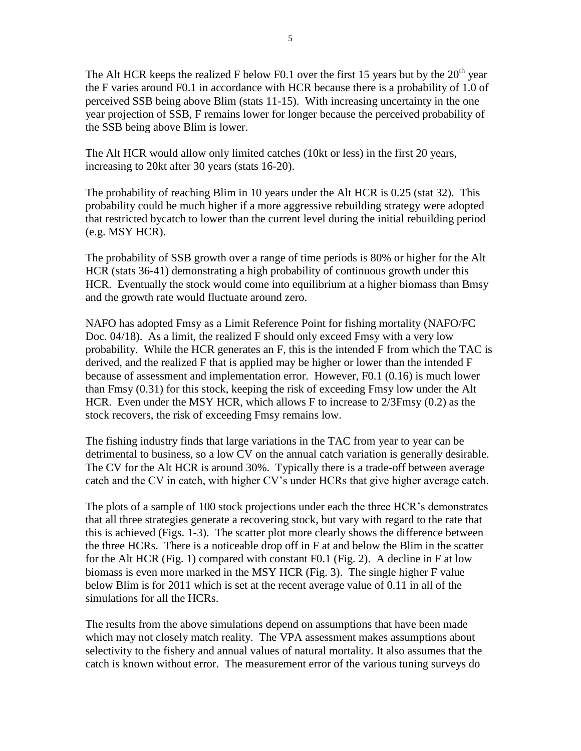The Alt HCR keeps the realized F below F0.1 over the first 15 years but by the  $20<sup>th</sup>$  year the F varies around F0.1 in accordance with HCR because there is a probability of 1.0 of perceived SSB being above Blim (stats 11-15). With increasing uncertainty in the one year projection of SSB, F remains lower for longer because the perceived probability of the SSB being above Blim is lower.

The Alt HCR would allow only limited catches (10kt or less) in the first 20 years, increasing to 20kt after 30 years (stats 16-20).

The probability of reaching Blim in 10 years under the Alt HCR is 0.25 (stat 32). This probability could be much higher if a more aggressive rebuilding strategy were adopted that restricted bycatch to lower than the current level during the initial rebuilding period (e.g. MSY HCR).

The probability of SSB growth over a range of time periods is 80% or higher for the Alt HCR (stats 36-41) demonstrating a high probability of continuous growth under this HCR. Eventually the stock would come into equilibrium at a higher biomass than Bmsy and the growth rate would fluctuate around zero.

NAFO has adopted Fmsy as a Limit Reference Point for fishing mortality (NAFO/FC Doc. 04/18). As a limit, the realized F should only exceed Fmsy with a very low probability. While the HCR generates an F, this is the intended F from which the TAC is derived, and the realized F that is applied may be higher or lower than the intended F because of assessment and implementation error. However, F0.1 (0.16) is much lower than Fmsy (0.31) for this stock, keeping the risk of exceeding Fmsy low under the Alt HCR. Even under the MSY HCR, which allows F to increase to 2/3Fmsy (0.2) as the stock recovers, the risk of exceeding Fmsy remains low.

The fishing industry finds that large variations in the TAC from year to year can be detrimental to business, so a low CV on the annual catch variation is generally desirable. The CV for the Alt HCR is around 30%. Typically there is a trade-off between average catch and the CV in catch, with higher CV's under HCRs that give higher average catch.

The plots of a sample of 100 stock projections under each the three HCR's demonstrates that all three strategies generate a recovering stock, but vary with regard to the rate that this is achieved (Figs. 1-3). The scatter plot more clearly shows the difference between the three HCRs. There is a noticeable drop off in F at and below the Blim in the scatter for the Alt HCR (Fig. 1) compared with constant F0.1 (Fig. 2). A decline in F at low biomass is even more marked in the MSY HCR (Fig. 3). The single higher F value below Blim is for 2011 which is set at the recent average value of 0.11 in all of the simulations for all the HCRs.

The results from the above simulations depend on assumptions that have been made which may not closely match reality. The VPA assessment makes assumptions about selectivity to the fishery and annual values of natural mortality. It also assumes that the catch is known without error. The measurement error of the various tuning surveys do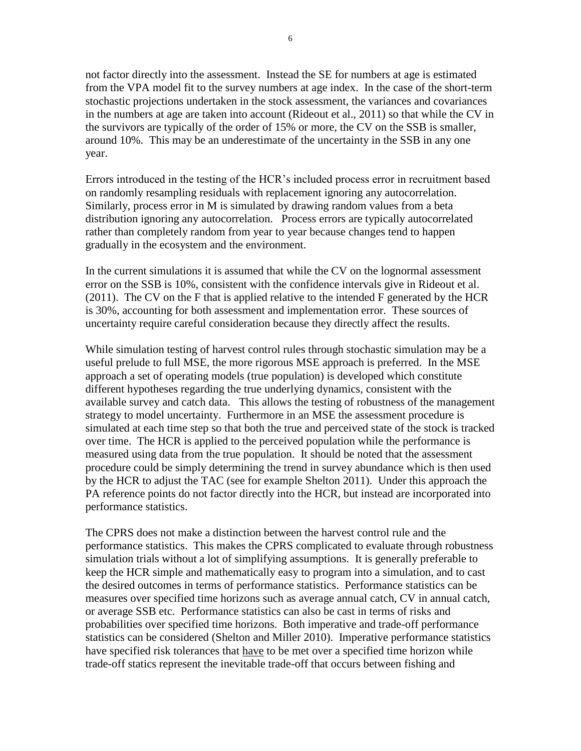not factor directly into the assessment. Instead the SE for numbers at age is estimated from the VPA model fit to the survey numbers at age index. In the case of the short-term stochastic projections undertaken in the stock assessment, the variances and covariances in the numbers at age are taken into account (Rideout et al., 2011) so that while the CV in the survivors are typically of the order of 15% or more, the CV on the SSB is smaller, around 10%. This may be an underestimate of the uncertainty in the SSB in any one year.

Errors introduced in the testing of the HCR's included process error in recruitment based on randomly resampling residuals with replacement ignoring any autocorrelation. Similarly, process error in M is simulated by drawing random values from a beta distribution ignoring any autocorrelation. Process errors are typically autocorrelated rather than completely random from year to year because changes tend to happen gradually in the ecosystem and the environment.

In the current simulations it is assumed that while the CV on the lognormal assessment error on the SSB is 10%, consistent with the confidence intervals give in Rideout et al. (2011). The CV on the F that is applied relative to the intended F generated by the HCR is 30%, accounting for both assessment and implementation error. These sources of uncertainty require careful consideration because they directly affect the results.

While simulation testing of harvest control rules through stochastic simulation may be a useful prelude to full MSE, the more rigorous MSE approach is preferred. In the MSE approach a set of operating models (true population) is developed which constitute different hypotheses regarding the true underlying dynamics, consistent with the available survey and catch data. This allows the testing of robustness of the management strategy to model uncertainty. Furthermore in an MSE the assessment procedure is simulated at each time step so that both the true and perceived state of the stock is tracked over time. The HCR is applied to the perceived population while the performance is measured using data from the true population. It should be noted that the assessment procedure could be simply determining the trend in survey abundance which is then used by the HCR to adjust the TAC (see for example Shelton 2011). Under this approach the PA reference points do not factor directly into the HCR, but instead are incorporated into performance statistics.

The CPRS does not make a distinction between the harvest control rule and the performance statistics. This makes the CPRS complicated to evaluate through robustness simulation trials without a lot of simplifying assumptions. It is generally preferable to keep the HCR simple and mathematically easy to program into a simulation, and to cast the desired outcomes in terms of performance statistics. Performance statistics can be measures over specified time horizons such as average annual catch, CV in annual catch, or average SSB etc. Performance statistics can also be cast in terms of risks and probabilities over specified time horizons. Both imperative and trade-off performance statistics can be considered (Shelton and Miller 2010). Imperative performance statistics have specified risk tolerances that have to be met over a specified time horizon while trade-off statics represent the inevitable trade-off that occurs between fishing and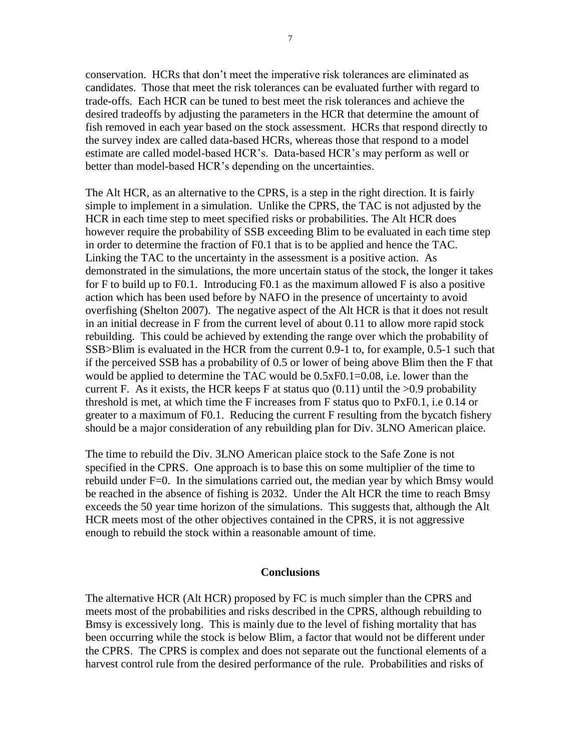conservation. HCRs that don't meet the imperative risk tolerances are eliminated as candidates. Those that meet the risk tolerances can be evaluated further with regard to trade-offs. Each HCR can be tuned to best meet the risk tolerances and achieve the desired tradeoffs by adjusting the parameters in the HCR that determine the amount of fish removed in each year based on the stock assessment. HCRs that respond directly to the survey index are called data-based HCRs, whereas those that respond to a model estimate are called model-based HCR's. Data-based HCR's may perform as well or better than model-based HCR's depending on the uncertainties.

The Alt HCR, as an alternative to the CPRS, is a step in the right direction. It is fairly simple to implement in a simulation. Unlike the CPRS, the TAC is not adjusted by the HCR in each time step to meet specified risks or probabilities. The Alt HCR does however require the probability of SSB exceeding Blim to be evaluated in each time step in order to determine the fraction of F0.1 that is to be applied and hence the TAC. Linking the TAC to the uncertainty in the assessment is a positive action. As demonstrated in the simulations, the more uncertain status of the stock, the longer it takes for F to build up to F0.1. Introducing F0.1 as the maximum allowed F is also a positive action which has been used before by NAFO in the presence of uncertainty to avoid overfishing (Shelton 2007). The negative aspect of the Alt HCR is that it does not result in an initial decrease in F from the current level of about 0.11 to allow more rapid stock rebuilding. This could be achieved by extending the range over which the probability of SSB>Blim is evaluated in the HCR from the current 0.9-1 to, for example, 0.5-1 such that if the perceived SSB has a probability of 0.5 or lower of being above Blim then the F that would be applied to determine the TAC would be 0.5xF0.1=0.08, i.e. lower than the current F. As it exists, the HCR keeps F at status quo  $(0.11)$  until the  $>0.9$  probability threshold is met, at which time the F increases from F status quo to PxF0.1, i.e 0.14 or greater to a maximum of F0.1. Reducing the current F resulting from the bycatch fishery should be a major consideration of any rebuilding plan for Div. 3LNO American plaice.

The time to rebuild the Div. 3LNO American plaice stock to the Safe Zone is not specified in the CPRS. One approach is to base this on some multiplier of the time to rebuild under F=0. In the simulations carried out, the median year by which Bmsy would be reached in the absence of fishing is 2032. Under the Alt HCR the time to reach Bmsy exceeds the 50 year time horizon of the simulations. This suggests that, although the Alt HCR meets most of the other objectives contained in the CPRS, it is not aggressive enough to rebuild the stock within a reasonable amount of time.

## **Conclusions**

The alternative HCR (Alt HCR) proposed by FC is much simpler than the CPRS and meets most of the probabilities and risks described in the CPRS, although rebuilding to Bmsy is excessively long. This is mainly due to the level of fishing mortality that has been occurring while the stock is below Blim, a factor that would not be different under the CPRS. The CPRS is complex and does not separate out the functional elements of a harvest control rule from the desired performance of the rule. Probabilities and risks of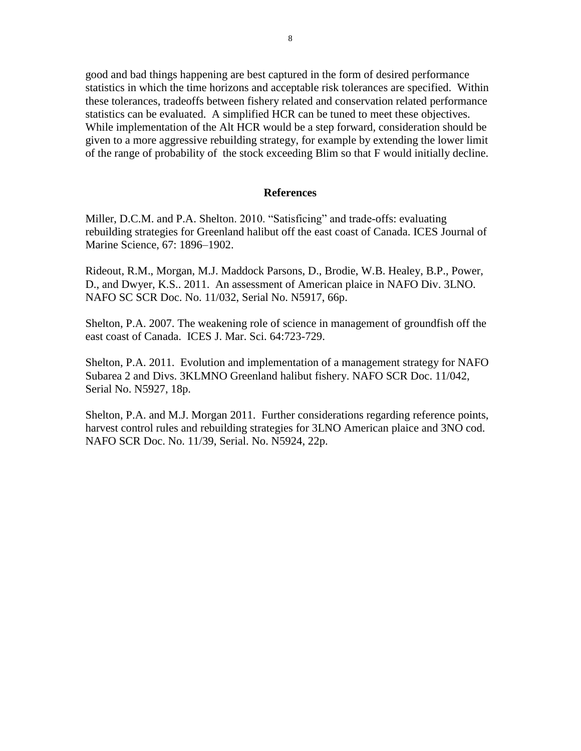good and bad things happening are best captured in the form of desired performance statistics in which the time horizons and acceptable risk tolerances are specified. Within these tolerances, tradeoffs between fishery related and conservation related performance statistics can be evaluated. A simplified HCR can be tuned to meet these objectives. While implementation of the Alt HCR would be a step forward, consideration should be given to a more aggressive rebuilding strategy, for example by extending the lower limit of the range of probability of the stock exceeding Blim so that F would initially decline.

#### **References**

Miller, D.C.M. and P.A. Shelton. 2010. "Satisficing" and trade-offs: evaluating rebuilding strategies for Greenland halibut off the east coast of Canada. ICES Journal of Marine Science, 67: 1896–1902.

Rideout, R.M., Morgan, M.J. Maddock Parsons, D., Brodie, W.B. Healey, B.P., Power, D., and Dwyer, K.S.. 2011. An assessment of American plaice in NAFO Div. 3LNO. NAFO SC SCR Doc. No. 11/032, Serial No. N5917, 66p.

Shelton, P.A. 2007. The weakening role of science in management of groundfish off the east coast of Canada. ICES J. Mar. Sci. 64:723-729.

Shelton, P.A. 2011. Evolution and implementation of a management strategy for NAFO Subarea 2 and Divs. 3KLMNO Greenland halibut fishery. NAFO SCR Doc. 11/042, Serial No. N5927, 18p.

Shelton, P.A. and M.J. Morgan 2011. Further considerations regarding reference points, harvest control rules and rebuilding strategies for 3LNO American plaice and 3NO cod. NAFO SCR Doc. No. 11/39, Serial. No. N5924, 22p.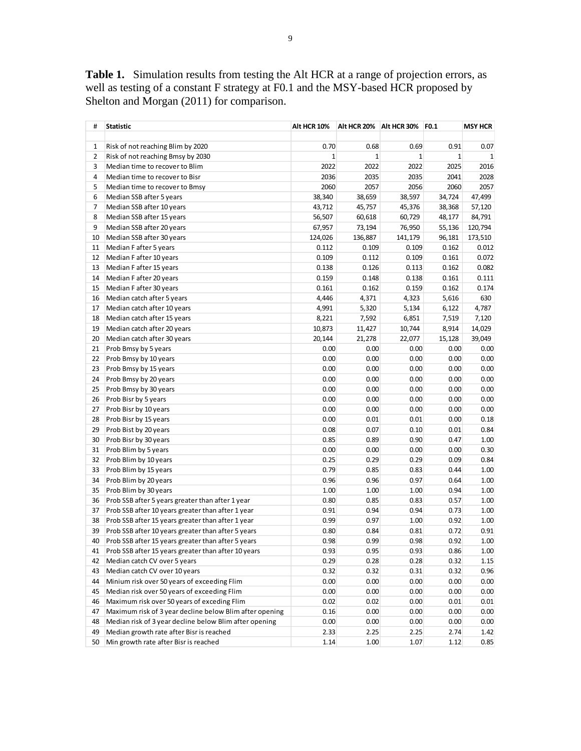**Table 1.** Simulation results from testing the Alt HCR at a range of projection errors, as well as testing of a constant F strategy at F0.1 and the MSY-based HCR proposed by Shelton and Morgan (2011) for comparison.

| #  | <b>Statistic</b>                                        | Alt HCR 10%  | Alt HCR 20%  | Alt HCR 30%  | F0.1         | <b>MSY HCR</b> |
|----|---------------------------------------------------------|--------------|--------------|--------------|--------------|----------------|
|    |                                                         |              |              |              |              |                |
| 1  | Risk of not reaching Blim by 2020                       | 0.70         | 0.68         | 0.69         | 0.91         | 0.07           |
| 2  | Risk of not reaching Bmsy by 2030                       | $\mathbf{1}$ | $\mathbf{1}$ | $\mathbf{1}$ | $\mathbf{1}$ | 1              |
| 3  | Median time to recover to Blim                          | 2022         | 2022         | 2022         | 2025         | 2016           |
| 4  | Median time to recover to Bisr                          | 2036         | 2035         | 2035         | 2041         | 2028           |
| 5  | Median time to recover to Bmsy                          | 2060         | 2057         | 2056         | 2060         | 2057           |
| 6  | Median SSB after 5 years                                | 38,340       | 38,659       | 38,597       | 34,724       | 47,499         |
| 7  | Median SSB after 10 years                               | 43,712       | 45,757       | 45,376       | 38,368       | 57,120         |
| 8  | Median SSB after 15 years                               | 56,507       | 60,618       | 60,729       | 48,177       | 84,791         |
| 9  | Median SSB after 20 years                               | 67,957       | 73,194       | 76,950       | 55,136       | 120,794        |
| 10 | Median SSB after 30 years                               | 124,026      | 136,887      | 141,179      | 96,181       | 173,510        |
| 11 | Median F after 5 years                                  | 0.112        | 0.109        | 0.109        | 0.162        | 0.012          |
| 12 | Median F after 10 years                                 | 0.109        | 0.112        | 0.109        | 0.161        | 0.072          |
| 13 | Median F after 15 years                                 | 0.138        | 0.126        | 0.113        | 0.162        | 0.082          |
| 14 | Median F after 20 years                                 | 0.159        | 0.148        | 0.138        | 0.161        | 0.111          |
| 15 | Median F after 30 years                                 | 0.161        | 0.162        | 0.159        | 0.162        | 0.174          |
| 16 | Median catch after 5 years                              | 4,446        | 4,371        | 4,323        | 5,616        | 630            |
| 17 | Median catch after 10 years                             | 4,991        | 5,320        | 5,134        | 6,122        | 4,787          |
| 18 | Median catch after 15 years                             | 8,221        | 7,592        | 6,851        | 7,519        | 7,120          |
| 19 | Median catch after 20 years                             | 10,873       | 11,427       | 10,744       | 8,914        | 14,029         |
| 20 | Median catch after 30 years                             | 20,144       | 21,278       | 22,077       | 15,128       | 39,049         |
| 21 | Prob Bmsy by 5 years                                    | 0.00         | 0.00         | 0.00         | 0.00         | 0.00           |
| 22 | Prob Bmsy by 10 years                                   | 0.00         | 0.00         | 0.00         | 0.00         | 0.00           |
| 23 | Prob Bmsy by 15 years                                   | 0.00         | 0.00         | 0.00         | 0.00         | 0.00           |
| 24 | Prob Bmsy by 20 years                                   | 0.00         | 0.00         | 0.00         | 0.00         | 0.00           |
| 25 | Prob Bmsy by 30 years                                   | 0.00         | 0.00         | 0.00         | 0.00         | 0.00           |
| 26 | Prob Bisr by 5 years                                    | 0.00         | 0.00         | 0.00         | 0.00         | 0.00           |
| 27 | Prob Bisr by 10 years                                   | 0.00         | 0.00         | 0.00         | 0.00         | 0.00           |
| 28 | Prob Bisr by 15 years                                   | 0.00         | 0.01         | 0.01         | 0.00         | 0.18           |
| 29 | Prob Bist by 20 years                                   | 0.08         | 0.07         | 0.10         | 0.01         | 0.84           |
| 30 | Prob Bisr by 30 years                                   | 0.85         | 0.89         | 0.90         | 0.47         | 1.00           |
| 31 | Prob Blim by 5 years                                    | 0.00         | 0.00         | 0.00         | 0.00         | 0.30           |
| 32 | Prob Blim by 10 years                                   | 0.25         | 0.29         | 0.29         | 0.09         | 0.84           |
| 33 | Prob Blim by 15 years                                   | 0.79         | 0.85         | 0.83         | 0.44         | 1.00           |
| 34 | Prob Blim by 20 years                                   | 0.96         | 0.96         | 0.97         | 0.64         | 1.00           |
| 35 | Prob Blim by 30 years                                   | 1.00         | 1.00         | 1.00         | 0.94         | 1.00           |
| 36 | Prob SSB after 5 years greater than after 1 year        | 0.80         | 0.85         | 0.83         | 0.57         | 1.00           |
| 37 | Prob SSB after 10 years greater than after 1 year       | 0.91         | 0.94         | 0.94         | 0.73         | 1.00           |
| 38 | Prob SSB after 15 years greater than after 1 year       | 0.99         | 0.97         | 1.00         | 0.92         | 1.00           |
| 39 | Prob SSB after 10 years greater than after 5 years      | 0.80         | 0.84         | 0.81         | 0.72         | 0.91           |
| 40 | Prob SSB after 15 years greater than after 5 years      | 0.98         | 0.99         | 0.98         | 0.92         | 1.00           |
| 41 | Prob SSB after 15 years greater than after 10 years     | 0.93         | 0.95         | 0.93         | 0.86         | 1.00           |
| 42 | Median catch CV over 5 years                            | 0.29         | 0.28         | 0.28         | 0.32         | 1.15           |
| 43 | Median catch CV over 10 years                           | 0.32         | 0.32         | 0.31         | 0.32         | 0.96           |
| 44 | Minium risk over 50 years of exceeding Flim             | 0.00         | 0.00         | 0.00         | 0.00         | 0.00           |
| 45 | Median risk over 50 years of exceeding Flim             | 0.00         | 0.00         | 0.00         | 0.00         | 0.00           |
| 46 | Maximum risk over 50 years of exceding Flim             | 0.02         | 0.02         | 0.00         | 0.01         | 0.01           |
| 47 | Maximum risk of 3 year decline below Blim after opening | 0.16         | 0.00         | 0.00         | 0.00         | 0.00           |
| 48 | Median risk of 3 year decline below Blim after opening  | 0.00         | 0.00         | 0.00         | 0.00         | 0.00           |
| 49 | Median growth rate after Bisr is reached                | 2.33         | 2.25         | 2.25         | 2.74         | 1.42           |
| 50 | Min growth rate after Bisr is reached                   | 1.14         | 1.00         | 1.07         | 1.12         | 0.85           |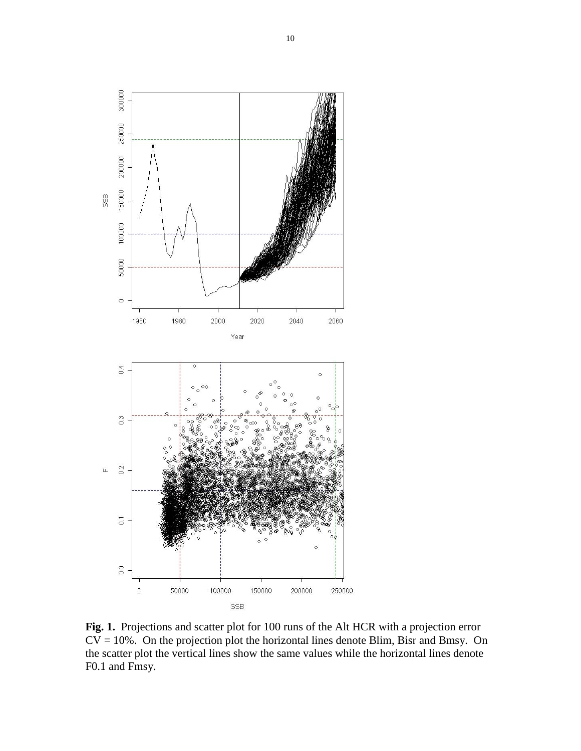

**Fig. 1.** Projections and scatter plot for 100 runs of the Alt HCR with a projection error  $CV = 10\%$ . On the projection plot the horizontal lines denote Blim, Bisr and Bmsy. On the scatter plot the vertical lines show the same values while the horizontal lines denote F0.1 and Fmsy.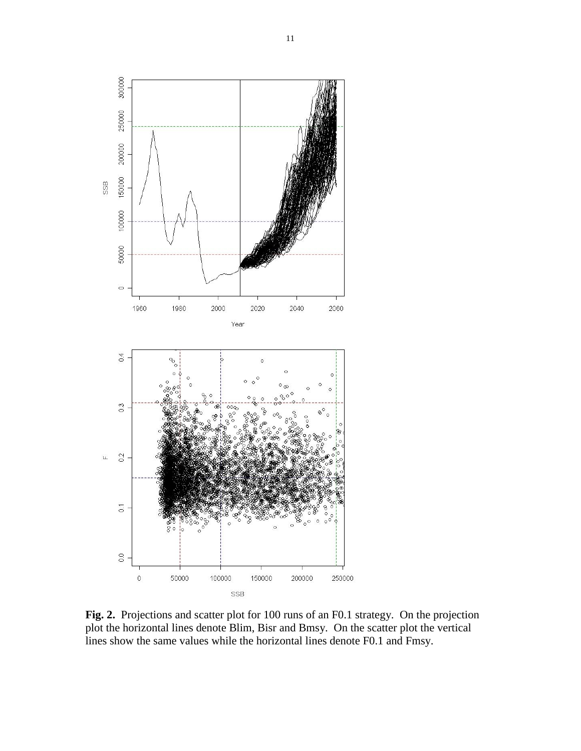

**Fig. 2.** Projections and scatter plot for 100 runs of an F0.1 strategy. On the projection plot the horizontal lines denote Blim, Bisr and Bmsy. On the scatter plot the vertical lines show the same values while the horizontal lines denote F0.1 and Fmsy.